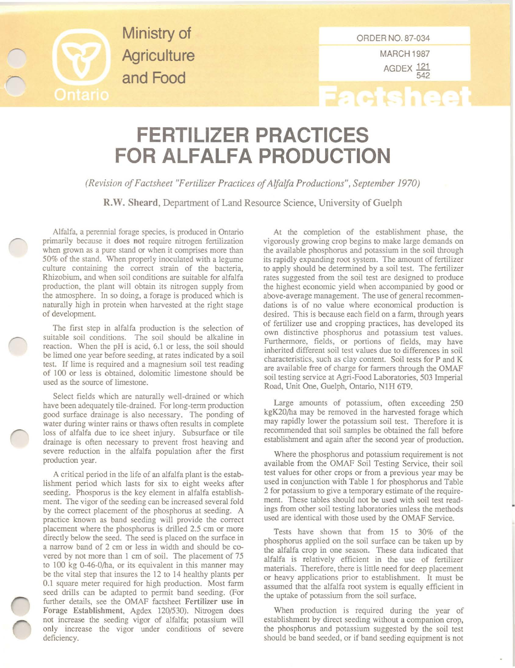

**Ministry of Agriculture and Food**

MARCH 1987 AGDEX<sup>121</sup> 542

## **Factsheet**

## **FERTILIZER PRACTICES FOR ALFALFA PRODUCTION**

*(Revision ofFactsheet "Fertilizer Practices ofAlfalfa Productions", September 1970)*

R.W. Sheard, Department of Land Resource Science, University of Guelph

Alfalfa, a perennial forage species, is produced in Ontario primarily because it does not require nitrogen fertilization **when grown as a pure stand or when it comprises more than** 50% of the stand. When properly inoculated with a legume **culture containing the correct strain of the bacteria.** Rhizobium. and when soil conditions are suitable for alfalfa production, the plant will obtain its nitrogen supply from the atmosphere. In so doing, a forage is produced which is naturally high in protein when harvested at the right stage of development.

The first step in alfalfa production is the selection of **suitable soil conditions. The soil should be alkaline in** reaction. When the pH is acid. 6.1 or less, the soil should **be limed one year before seeding, at rates indicated by a soil test. If lime is required and a magnesium soil test reading** of 100 or less is obtained, dolomitic limestone should be **used as the source of limestone.**

Select fields which are naturally well-drained or which have been adequately tile-drained. For long-term production good surface drainage is also necessary. The ponding of **water during winter rains or thaws often results in complete** loss of alfalfa due to ice sheet injury. Subsurface or tile **drainage is often necessary to prevent frost heaving and** severe reduction in the alfalfa population after the first **production year.**

A critical period in the life of an alfalfa plant is the estab**lishment period which lasts for six to eight weeks after** seeding. Phosporus is the key element in alfalfa establish $m$  ment. The vigor of the seeding can be increased several fold by the correct placement of the phosphorus at seeding. A **practice known as band seeding will provide the correct** placement where the phosphorus is drilled 2.5 em or more directly below the seed. The seed is placed on the surface in a narrow band of 2 em or less in width and should be covered by not more than 1 em of soil. The placement of 75 to 100 kg 0-46-0/ha, or its equivalent in this manner may be the vital step that insures the 12 to 14 healthy plants per **0.1 square meter required for high production. Most farm** seed drills can be adapted to permit band seeding. (For further details, see the OMAF factsheet Fertilizer use in Forage Establishment, Agdex 120/530). Nitrogen does not increase the seeding vigor of alfalfa; potassium will **only increase the vigor under conditions of severe** deficiency.

At the completion of the establishment phase, the vigorously growing crop begins to make large demands on the available phosphorus and potassium in the soil through its rapidly expanding root system. The amount of fertilizer to apply should be determined by a soil test. The fertilizer rates suggested from the soil test are designed to produce the highest economic yield when accompanied by good or **above-average management. The use of general recommendations is of no value where economical production is** desired. This is because each field on a farm, through years of fertilizer use and cropping practices, has developed its **own distinctive phosphorus and potassium test values.** Furthermore, fields, or portions of fields, may have **inherited different soil test values due to differences in soil** characteristics, such as clay content. Soil tests for P and K are available free of charge for farmers through the OMAF soil testing service at Agri-Food Laboratories, 503 Imperial Road, Unit One, Guelph, Ontario, N1H 6T9.

Large amounts of potassium. often exceeding 250 kgK20/ha may be removed in the harvested forage which may rapidly lower the potassium soil test. Therefore it is recommended that soil samples be obtained the fall before establishment and again after the second year of production.

Where the phosphorus and potassium requirement is not available from the OMAF Soil Testing Service, their soil **test values for other crops or from a previous year may be** used in conjunction with Table 1 for phosphorus and Table **2 for potassium to give a temporary estimate of the require**ment. These tables should not be used with soil test readings from other soil testing laboratories unless the methods used are identical with those used by the OMAF Service.

Tests have shown that from 15 to 30% of the phosphorus applied on the soil surface can be taken up by the alfalfa crop in one season. These data indicated that alfalfa is relatively efficient in the use of fertilizer materials. Therefore, there is little need for deep placement or heavy applications prior to establishment. It must be assumed that the alfalfa root system is equally efficient in the uptake of potassium from the soil surface.

When production is required during the year of establishment by direct seeding without a companion crop, the phosphorus and potassium suggested by the soil test should be band seeded, or if band seeding equipment is not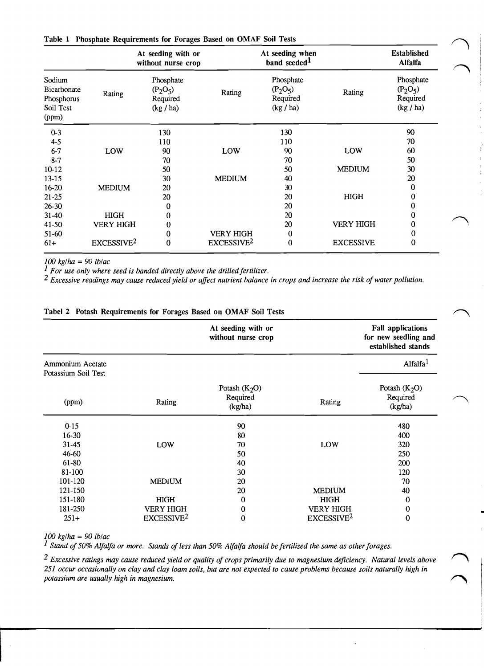|                                                           |                        | At seeding with or<br>without nurse crop         |                        | At seeding when<br>band seeded <sup>1</sup>      |                  | <b>Established</b><br><b>Alfalfa</b>             |
|-----------------------------------------------------------|------------------------|--------------------------------------------------|------------------------|--------------------------------------------------|------------------|--------------------------------------------------|
| Sodium<br>Bicarbonate<br>Phosphorus<br>Soil Test<br>(ppm) | Rating                 | Phosphate<br>$(P_2O_5)$<br>Required<br>(kg / ha) | Rating                 | Phosphate<br>$(P_2O_5)$<br>Required<br>(kg / ha) | Rating           | Phosphate<br>$(P_2O_5)$<br>Required<br>(kg / ha) |
| $0 - 3$                                                   |                        | 130                                              |                        | 130                                              |                  | 90                                               |
| $4 - 5$                                                   |                        | 110                                              |                        | 110                                              |                  | 70                                               |
| $6 - 7$                                                   | <b>LOW</b>             | 90                                               | LOW                    | 90                                               | LOW              | 60                                               |
| $8 - 7$                                                   |                        | 70                                               |                        | 70                                               |                  | 50                                               |
| 10-12                                                     |                        | 50                                               |                        | 50                                               | <b>MEDIUM</b>    | 30                                               |
| $13 - 15$                                                 |                        | 30                                               | <b>MEDIUM</b>          | 40                                               |                  | 20                                               |
| $16 - 20$                                                 | <b>MEDIUM</b>          | 20                                               |                        | 30                                               |                  | 0                                                |
| $21 - 25$                                                 |                        | 20                                               |                        | 20                                               | <b>HIGH</b>      | 0                                                |
| $26 - 30$                                                 |                        | 0                                                |                        | 20                                               |                  | 0                                                |
| $31-40$                                                   | <b>HIGH</b>            | 0                                                |                        | 20                                               |                  | 0                                                |
| 41-50                                                     | <b>VERY HIGH</b>       | 0                                                |                        | 20                                               | <b>VERY HIGH</b> | 0                                                |
| $51-60$                                                   |                        | 0                                                | <b>VERY HIGH</b>       | 0                                                |                  | 0                                                |
| $61+$                                                     | EXCESSIVE <sup>2</sup> | $\bf{0}$                                         | EXCESSIVE <sup>2</sup> | $\bf{0}$                                         | <b>EXCESSIVE</b> | $\bf{0}$                                         |

*100 kg/ha* =*90lb/ac* 

<sup>*1</sup> For use only where seed is banded directly above the drilled fertilizer.*</sup>

*2 Excessive readings may cause reduced yield or affect nutrient balance in crops and increase the risk of water pollution.* 

|                                         |                        | At seeding with or<br>without nurse crop |                        | <b>Fall applications</b><br>for new seedling and<br>established stands |
|-----------------------------------------|------------------------|------------------------------------------|------------------------|------------------------------------------------------------------------|
| Ammonium Acetate<br>Potassium Soil Test |                        |                                          |                        | Alfalfa <sup>1</sup>                                                   |
| (ppm)                                   | Rating                 | Potash $(K_2O)$<br>Required<br>(kg/ha)   | Rating                 | Potash $(K_2O)$<br>Required<br>(kg/ha)                                 |
| $0 - 15$                                |                        | 90                                       |                        | 480                                                                    |
| 16-30                                   |                        | 80                                       |                        | 400                                                                    |
| $31 - 45$                               | LOW                    | 70                                       | LOW                    | 320                                                                    |
| 46-60                                   |                        | 50                                       |                        | 250                                                                    |
| 61-80                                   |                        | 40                                       |                        | 200                                                                    |
| 81-100                                  |                        | 30                                       |                        | 120                                                                    |
| 101-120                                 | <b>MEDIUM</b>          | 20                                       |                        | 70                                                                     |
| 121-150                                 |                        | 20                                       | <b>MEDIUM</b>          | 40                                                                     |
| 151-180                                 | <b>HIGH</b>            | 0                                        | <b>HIGH</b>            | $\bf{0}$                                                               |
| 181-250                                 | <b>VERY HIGH</b>       | $\bf{0}$                                 | <b>VERY HIGH</b>       | $\bf{0}$                                                               |
| $251+$                                  | EXCESSIVE <sup>2</sup> | $\bf{0}$                                 | EXCESSIVE <sup>2</sup> | $\bf{0}$                                                               |

## Tabel 2 Potash Requirements for Forages Based on OMAF Soil Tests

*100 kg/ha* =90 *lb/ac* 

*1 Stand of50% Alfalfa or more. Stands of less than 50% Alfalfa should be fertilized the same as other forages.* 

*2 Excessive ratings may cause reduced yield or quality of crops primarily due to magnesium deficiency. Natural levels above 251 occur occasionally on clay and clay loam soils, but are not expected to cause problems because soils naturally high in potassium are usually high in magnesium. 0*